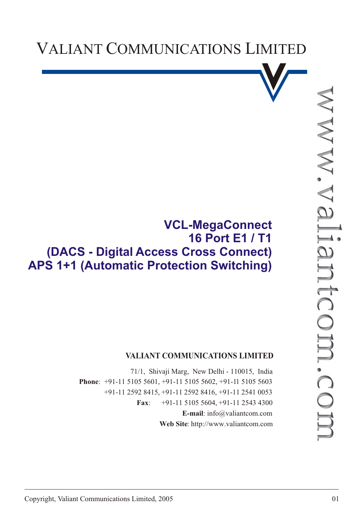



## **VCL-MegaConnect 16 Port E1 / T1 (DACS - Digital Access Cross Connect) APS 1+1 (Automatic Protection Switching)**

## **VALIANT COMMUNICATIONS LIMITED**

71/1, Shivaji Marg, New Delhi - 110015, India **Phone**: +91-11 5105 5601, +91-11 5105 5602, +91-11 5105 5603 +91-11 2592 8415, +91-11 2592 8416, +91-11 2541 0053 **Fax**: +91-11 5105 5604, +91-11 2543 4300 **E-mail**: info@valiantcom.com **Web Site**: http://www.valiantcom.com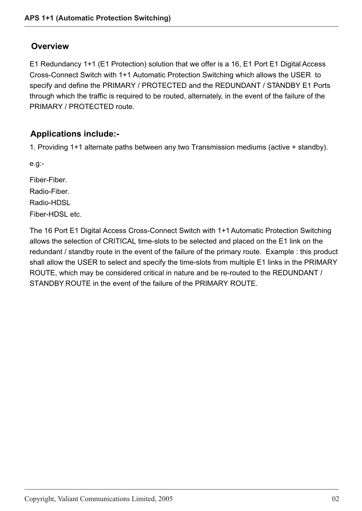### **Overview**

E1 Redundancy 1+1 (E1 Protection) solution that we offer is a 16, E1 Port E1 Digital Access Cross-Connect Switch with 1+1 Automatic Protection Switching which allows the USER to specify and define the PRIMARY / PROTECTED and the REDUNDANT / STANDBY E1 Ports through which the traffic is required to be routed, alternately, in the event of the failure of the PRIMARY / PROTECTED route.

## **Applications include:-**

1. Providing 1+1 alternate paths between any two Transmission mediums (active + standby).

e.g:-

Fiber-Fiber. Radio-Fiber.

Radio-HDSL

Fiber-HDSL etc.

The 16 Port E1 Digital Access Cross-Connect Switch with 1+1 Automatic Protection Switching allows the selection of CRITICAL time-slots to be selected and placed on the E1 link on the redundant / standby route in the event of the failure of the primary route. Example : this product shall allow the USER to select and specify the time-slots from multiple E1 links in the PRIMARY ROUTE, which may be considered critical in nature and be re-routed to the REDUNDANT / STANDBY ROUTE in the event of the failure of the PRIMARY ROUTE.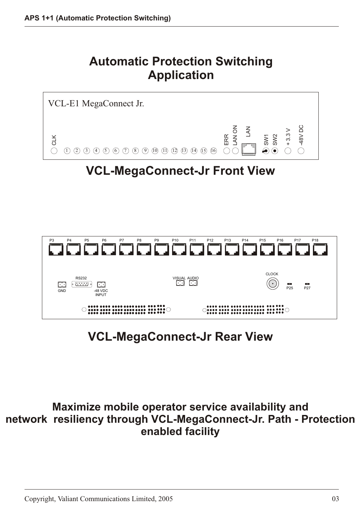# **Automatic Protection Switching Application**



# **VCL-MegaConnect-Jr Rear View**

**Maximize mobile operator service availability and network resiliency through VCL-MegaConnect-Jr. Path - Protection enabled facility**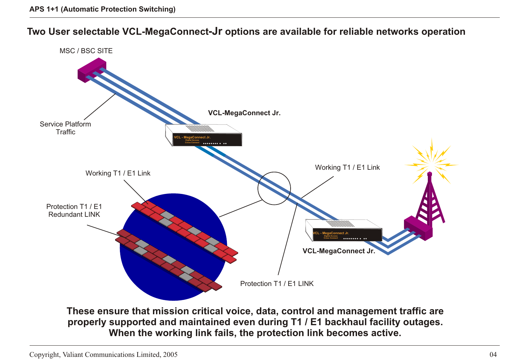**Two User selectable VCL-MegaConnect-Jr options are available for reliable networks operation**



**properly supported and maintained even during T1 / E1 backhaul facility outages. When the working link fails, the protection link becomes active.**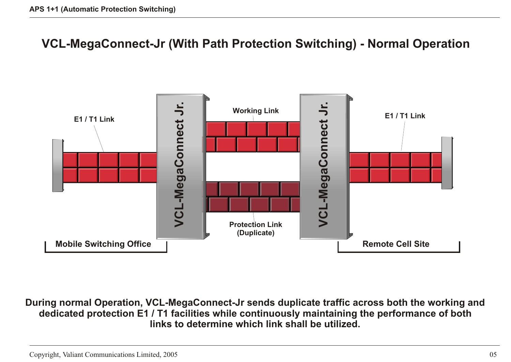## **VCL-MegaConnect-Jr (With Path Protection Switching) - Normal Operation**



**During normal Operation, VCL-MegaConnect-Jr sends duplicate traffic across both the working and dedicated protection E1 / T1 facilities while continuously maintaining the performance of both links to determine which link shall be utilized.**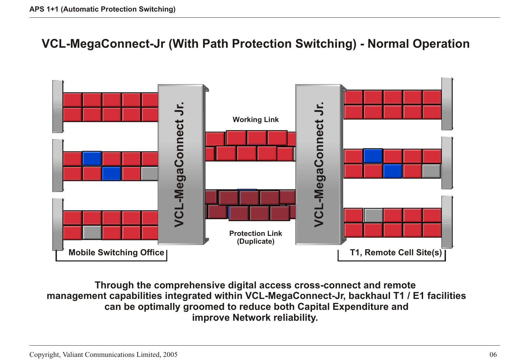## **VCL-MegaConnect-Jr (With Path Protection Switching) - Normal Operation**



**Through the comprehensive digital access cross-connect and remote management capabilities integrated within VCL-MegaConnect-Jr, backhaul T1 / E1 facilities can be optimally groomed to reduce both Capital Expenditure and improve Network reliability.**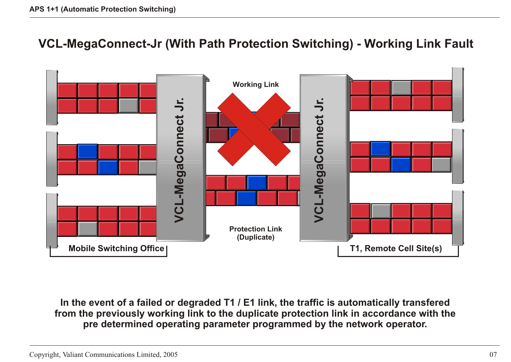## **VCL-MegaConnect-Jr (With Path Protection Switching) - Working Link Fault**



**In the event of a failed or degraded T1 / E1 link, the traffic is automatically transfered from the previously working link to the duplicate protection link in accordance with the pre determined operating parameter programmed by the network operator.**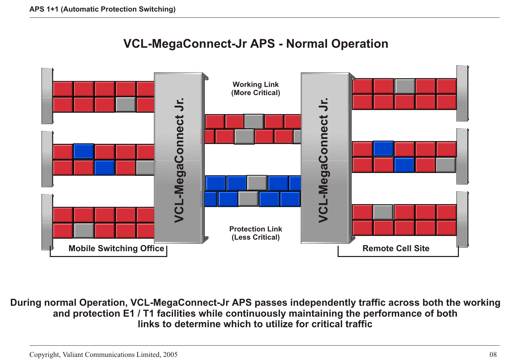



**During normal Operation, VCL-MegaConnect-Jr APS passes independently traffic across both the working and protection E1 / T1 facilities while continuously maintaining the performance of both links to determine which to utilize for critical traffic**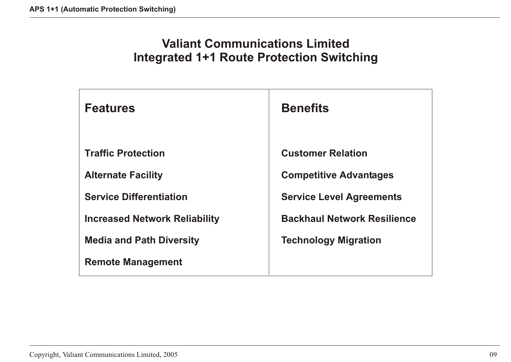# **Valiant Communications Limited Integrated 1+1 Route Protection Switching**

| <b>Features</b>                      | <b>Benefits</b>                    |
|--------------------------------------|------------------------------------|
| <b>Traffic Protection</b>            | <b>Customer Relation</b>           |
| <b>Alternate Facility</b>            | <b>Competitive Advantages</b>      |
| <b>Service Differentiation</b>       | <b>Service Level Agreements</b>    |
| <b>Increased Network Reliability</b> | <b>Backhaul Network Resilience</b> |
| <b>Media and Path Diversity</b>      | <b>Technology Migration</b>        |
| <b>Remote Management</b>             |                                    |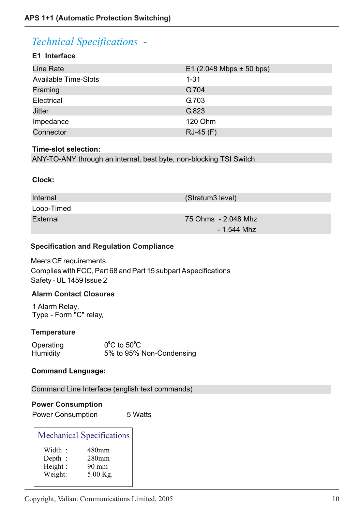## *Technical Specifications -*

### **E1 Interface**

| Line Rate                   | $E1$ (2.048 Mbps $\pm$ 50 bps) |
|-----------------------------|--------------------------------|
| <b>Available Time-Slots</b> | $1 - 31$                       |
| Framing                     | G.704                          |
| Electrical                  | G.703                          |
| <b>Jitter</b>               | G.823                          |
| Impedance                   | <b>120 Ohm</b>                 |
| Connector                   | $RJ-45$ (F)                    |

#### **Time-slot selection:**

ANY-TO-ANY through an internal, best byte, non-blocking TSI Switch.

### **Clock:**

| Internal   | (Stratum3 level)    |
|------------|---------------------|
| Loop-Timed |                     |
| External   | 75 Ohms - 2.048 Mhz |
|            | $-1.544$ Mhz        |

### **Specification and Regulation Compliance**

Meets CE requirements Complies with FCC, Part 68 and Part 15 subpart A specifications Safety - UL 1459 Issue 2

### **Alarm Contact Closures**

1 Alarm Relay, Type - Form "C" relay,

### **Temperature**

| Operating       | $0^{\circ}$ C to 50 $^{\circ}$ C |
|-----------------|----------------------------------|
| <b>Humidity</b> | 5% to 95% Non-Condensing         |

### **Command Language:**

Command Line Interface (english text commands)

### **Power Consumption**

Power Consumption 5 Watts

| <b>Mechanical Specifications</b> |                   |  |
|----------------------------------|-------------------|--|
| Width:                           | 480mm             |  |
| Depth :                          | 280 <sub>mm</sub> |  |
| Height:                          | 90 mm             |  |
| Weight:                          | 5.00 Kg.          |  |